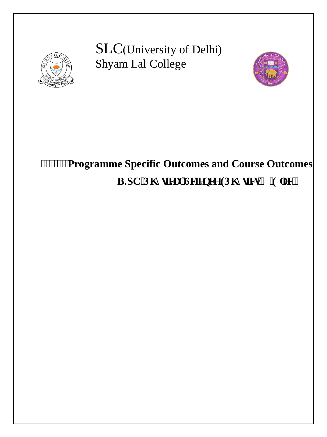

I I I I I I I I I I  SLC(University of Delhi) Shyam Lal College



# **Programme Specific Outcomes and Course Outcomes**  B.SC'Rj { ulecrillelgpeg (Rj { uleu'( 'Grge0+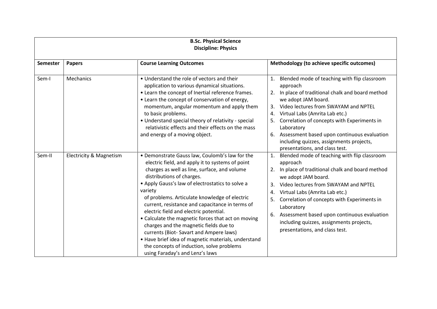| <b>B.Sc. Physical Science</b><br><b>Discipline: Physics</b> |                                    |                                                                                                                                                                                                                                                                                                                                                                                                                                                                                                                                                                                                                                                                               |                                                                                                                                                                                                                                                                                                                                                                                                                                           |  |
|-------------------------------------------------------------|------------------------------------|-------------------------------------------------------------------------------------------------------------------------------------------------------------------------------------------------------------------------------------------------------------------------------------------------------------------------------------------------------------------------------------------------------------------------------------------------------------------------------------------------------------------------------------------------------------------------------------------------------------------------------------------------------------------------------|-------------------------------------------------------------------------------------------------------------------------------------------------------------------------------------------------------------------------------------------------------------------------------------------------------------------------------------------------------------------------------------------------------------------------------------------|--|
| <b>Semester</b>                                             | <b>Papers</b>                      | <b>Course Learning Outcomes</b>                                                                                                                                                                                                                                                                                                                                                                                                                                                                                                                                                                                                                                               | Methodology (to achieve specific outcomes)                                                                                                                                                                                                                                                                                                                                                                                                |  |
| Sem-I                                                       | Mechanics                          | • Understand the role of vectors and their<br>application to various dynamical situations.<br>• Learn the concept of Inertial reference frames.<br>• Learn the concept of conservation of energy,<br>momentum, angular momentum and apply them<br>to basic problems.<br>• Understand special theory of relativity - special<br>relativistic effects and their effects on the mass<br>and energy of a moving object.                                                                                                                                                                                                                                                           | Blended mode of teaching with flip classroom<br>1.<br>approach<br>In place of traditional chalk and board method<br>2.<br>we adopt JAM board.<br>Video lectures from SWAYAM and NPTEL<br>3.<br>Virtual Labs (Amrita Lab etc.)<br>4.<br>Correlation of concepts with Experiments in<br>Laboratory<br>Assessment based upon continuous evaluation<br>6.<br>including quizzes, assignments projects,<br>presentations, and class test.       |  |
| Sem-II                                                      | <b>Electricity &amp; Magnetism</b> | • Demonstrate Gauss law, Coulomb's law for the<br>electric field, and apply it to systems of point<br>charges as well as line, surface, and volume<br>distributions of charges.<br>• Apply Gauss's law of electrostatics to solve a<br>variety<br>of problems. Articulate knowledge of electric<br>current, resistance and capacitance in terms of<br>electric field and electric potential.<br>• Calculate the magnetic forces that act on moving<br>charges and the magnetic fields due to<br>currents (Biot-Savart and Ampere laws)<br>• Have brief idea of magnetic materials, understand<br>the concepts of induction, solve problems<br>using Faraday's and Lenz's laws | Blended mode of teaching with flip classroom<br>1.<br>approach<br>In place of traditional chalk and board method<br>2.<br>we adopt JAM board.<br>Video lectures from SWAYAM and NPTEL<br>3.<br>Virtual Labs (Amrita Lab etc.)<br>4.<br>Correlation of concepts with Experiments in<br>5.<br>Laboratory<br>Assessment based upon continuous evaluation<br>6.<br>including quizzes, assignments projects,<br>presentations, and class test. |  |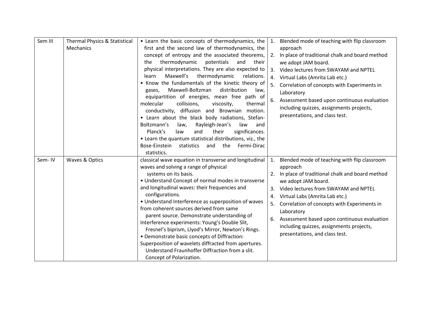| Sem III | <b>Thermal Physics &amp; Statistical</b> | • Learn the basic concepts of thermodynamics, the        | 1. | Blended mode of teaching with flip classroom   |
|---------|------------------------------------------|----------------------------------------------------------|----|------------------------------------------------|
|         | Mechanics                                | first and the second law of thermodynamics, the          |    | approach                                       |
|         |                                          | concept of entropy and the associated theorems,          | 2. | In place of traditional chalk and board method |
|         |                                          | thermodynamic<br>potentials<br>the<br>and<br>their       |    | we adopt JAM board.                            |
|         |                                          | physical interpretations. They are also expected to      | 3. | Video lectures from SWAYAM and NPTEL           |
|         |                                          | Maxwell's<br>thermodynamic<br>learn<br>relations.        | 4. | Virtual Labs (Amrita Lab etc.)                 |
|         |                                          | • Know the fundamentals of the kinetic theory of         | 5. | Correlation of concepts with Experiments in    |
|         |                                          | Maxwell-Boltzman<br>distribution<br>law,<br>gases,       |    | Laboratory                                     |
|         |                                          | equipartition of energies, mean free path of             | 6. | Assessment based upon continuous evaluation    |
|         |                                          | molecular<br>collisions,<br>viscosity,<br>thermal        |    | including quizzes, assignments projects,       |
|         |                                          | conductivity, diffusion and Brownian motion.             |    |                                                |
|         |                                          | • Learn about the black body radiations, Stefan-         |    | presentations, and class test.                 |
|         |                                          | Boltzmann's<br>Rayleigh-Jean's<br>law,<br>law<br>and     |    |                                                |
|         |                                          | Planck's<br>and<br>their<br>significances.<br>law        |    |                                                |
|         |                                          | • Learn the quantum statistical distributions, viz., the |    |                                                |
|         |                                          | Bose-Einstein<br>statistics<br>the<br>Fermi-Dirac<br>and |    |                                                |
|         |                                          | statistics.                                              |    |                                                |
| Sem-IV  | Waves & Optics                           | classical wave equation in transverse and longitudinal   | 1. | Blended mode of teaching with flip classroom   |
|         |                                          | waves and solving a range of physical                    |    | approach                                       |
|         |                                          | systems on its basis.                                    |    | In place of traditional chalk and board method |
|         |                                          | • Understand Concept of normal modes in transverse       |    | we adopt JAM board.                            |
|         |                                          | and longitudinal waves: their frequencies and            | 3. | Video lectures from SWAYAM and NPTEL           |
|         |                                          | configurations.                                          | 4. | Virtual Labs (Amrita Lab etc.)                 |
|         |                                          | • Understand Interference as superposition of waves      |    | Correlation of concepts with Experiments in    |
|         |                                          | from coherent sources derived from same                  |    |                                                |
|         |                                          | parent source. Demonstrate understanding of              |    | Laboratory                                     |
|         |                                          | Interference experiments: Young's Double Slit,           | 6. | Assessment based upon continuous evaluation    |
|         |                                          | Fresnel's biprism, Llyod's Mirror, Newton's Rings.       |    | including quizzes, assignments projects,       |
|         |                                          | • Demonstrate basic concepts of Diffraction:             |    | presentations, and class test.                 |
|         |                                          | Superposition of wavelets diffracted from apertures.     |    |                                                |
|         |                                          | Understand Fraunhoffer Diffraction from a slit.          |    |                                                |
|         |                                          | Concept of Polarization.                                 |    |                                                |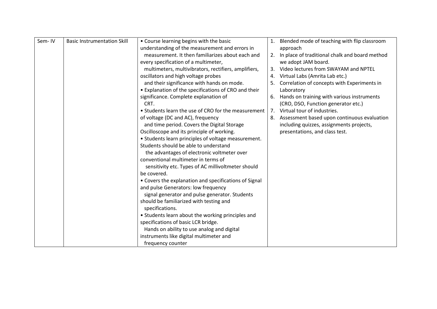| Sem-IV | <b>Basic Instrumentation Skill</b> | • Course learning begins with the basic               |    | Blended mode of teaching with flip classroom      |
|--------|------------------------------------|-------------------------------------------------------|----|---------------------------------------------------|
|        |                                    | understanding of the measurement and errors in        |    | approach                                          |
|        |                                    | measurement. It then familiarizes about each and      |    | 2. In place of traditional chalk and board method |
|        |                                    | every specification of a multimeter,                  |    | we adopt JAM board.                               |
|        |                                    | multimeters, multivibrators, rectifiers, amplifiers,  | 3. | Video lectures from SWAYAM and NPTEL              |
|        |                                    | oscillators and high voltage probes                   | 4. | Virtual Labs (Amrita Lab etc.)                    |
|        |                                    | and their significance with hands on mode.            |    | Correlation of concepts with Experiments in       |
|        |                                    | • Explanation of the specifications of CRO and their  |    | Laboratory                                        |
|        |                                    | significance. Complete explanation of                 | 6. | Hands on training with various instruments        |
|        |                                    | CRT.                                                  |    | (CRO, DSO, Function generator etc.)               |
|        |                                    | • Students learn the use of CRO for the measurement   | 7. | Virtual tour of industries.                       |
|        |                                    | of voltage (DC and AC), frequency                     | 8. | Assessment based upon continuous evaluation       |
|        |                                    | and time period. Covers the Digital Storage           |    | including quizzes, assignments projects,          |
|        |                                    | Oscilloscope and its principle of working.            |    | presentations, and class test.                    |
|        |                                    | • Students learn principles of voltage measurement.   |    |                                                   |
|        |                                    | Students should be able to understand                 |    |                                                   |
|        |                                    | the advantages of electronic voltmeter over           |    |                                                   |
|        |                                    | conventional multimeter in terms of                   |    |                                                   |
|        |                                    | sensitivity etc. Types of AC millivoltmeter should    |    |                                                   |
|        |                                    | be covered.                                           |    |                                                   |
|        |                                    | • Covers the explanation and specifications of Signal |    |                                                   |
|        |                                    | and pulse Generators: low frequency                   |    |                                                   |
|        |                                    | signal generator and pulse generator. Students        |    |                                                   |
|        |                                    | should be familiarized with testing and               |    |                                                   |
|        |                                    | specifications.                                       |    |                                                   |
|        |                                    | • Students learn about the working principles and     |    |                                                   |
|        |                                    | specifications of basic LCR bridge.                   |    |                                                   |
|        |                                    | Hands on ability to use analog and digital            |    |                                                   |
|        |                                    | instruments like digital multimeter and               |    |                                                   |
|        |                                    | frequency counter                                     |    |                                                   |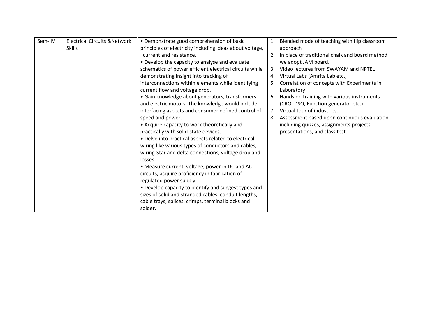| Sem-IV | <b>Electrical Circuits &amp; Network</b> | • Demonstrate good comprehension of basic                | 1.             | Blended mode of teaching with flip classroom   |
|--------|------------------------------------------|----------------------------------------------------------|----------------|------------------------------------------------|
|        | <b>Skills</b>                            | principles of electricity including ideas about voltage, |                | approach                                       |
|        |                                          | current and resistance.                                  | 2.             | In place of traditional chalk and board method |
|        |                                          | • Develop the capacity to analyse and evaluate           |                | we adopt JAM board.                            |
|        |                                          | schematics of power efficient electrical circuits while  | 3.             | Video lectures from SWAYAM and NPTEL           |
|        |                                          | demonstrating insight into tracking of                   | 4.             | Virtual Labs (Amrita Lab etc.)                 |
|        |                                          | interconnections within elements while identifying       |                | Correlation of concepts with Experiments in    |
|        |                                          | current flow and voltage drop.                           |                | Laboratory                                     |
|        |                                          | · Gain knowledge about generators, transformers          | 6.             | Hands on training with various instruments     |
|        |                                          | and electric motors. The knowledge would include         |                | (CRO, DSO, Function generator etc.)            |
|        |                                          | interfacing aspects and consumer defined control of      | 7 <sub>1</sub> | Virtual tour of industries.                    |
|        |                                          | speed and power.                                         | 8.             | Assessment based upon continuous evaluation    |
|        |                                          | • Acquire capacity to work theoretically and             |                | including quizzes, assignments projects,       |
|        |                                          | practically with solid-state devices.                    |                | presentations, and class test.                 |
|        |                                          | • Delve into practical aspects related to electrical     |                |                                                |
|        |                                          | wiring like various types of conductors and cables,      |                |                                                |
|        |                                          | wiring-Star and delta connections, voltage drop and      |                |                                                |
|        |                                          | losses.                                                  |                |                                                |
|        |                                          | • Measure current, voltage, power in DC and AC           |                |                                                |
|        |                                          | circuits, acquire proficiency in fabrication of          |                |                                                |
|        |                                          | regulated power supply.                                  |                |                                                |
|        |                                          | • Develop capacity to identify and suggest types and     |                |                                                |
|        |                                          | sizes of solid and stranded cables, conduit lengths,     |                |                                                |
|        |                                          | cable trays, splices, crimps, terminal blocks and        |                |                                                |
|        |                                          | solder.                                                  |                |                                                |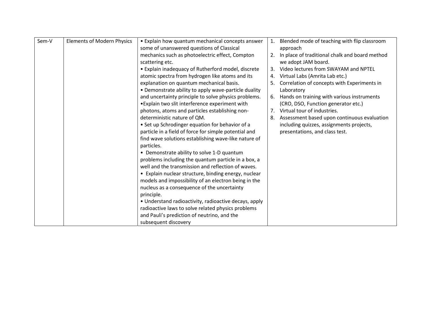| Sem-V | <b>Elements of Modern Physics</b> | • Explain how quantum mechanical concepts answer      | 1. | Blended mode of teaching with flip classroom   |
|-------|-----------------------------------|-------------------------------------------------------|----|------------------------------------------------|
|       |                                   | some of unanswered questions of Classical             |    | approach                                       |
|       |                                   | mechanics such as photoelectric effect, Compton       | 2. | In place of traditional chalk and board method |
|       |                                   | scattering etc.                                       |    | we adopt JAM board.                            |
|       |                                   | • Explain inadequacy of Rutherford model, discrete    | 3. | Video lectures from SWAYAM and NPTEL           |
|       |                                   | atomic spectra from hydrogen like atoms and its       | 4. | Virtual Labs (Amrita Lab etc.)                 |
|       |                                   | explanation on quantum mechanical basis.              | 5. | Correlation of concepts with Experiments in    |
|       |                                   | • Demonstrate ability to apply wave-particle duality  |    | Laboratory                                     |
|       |                                   | and uncertainty principle to solve physics problems.  | 6. | Hands on training with various instruments     |
|       |                                   | • Explain two slit interference experiment with       |    | (CRO, DSO, Function generator etc.)            |
|       |                                   | photons, atoms and particles establishing non-        | 7. | Virtual tour of industries.                    |
|       |                                   | deterministic nature of QM.                           | 8. | Assessment based upon continuous evaluation    |
|       |                                   | • Set up Schrodinger equation for behavior of a       |    | including quizzes, assignments projects,       |
|       |                                   | particle in a field of force for simple potential and |    | presentations, and class test.                 |
|       |                                   | find wave solutions establishing wave-like nature of  |    |                                                |
|       |                                   | particles.                                            |    |                                                |
|       |                                   | • Demonstrate ability to solve 1-D quantum            |    |                                                |
|       |                                   | problems including the quantum particle in a box, a   |    |                                                |
|       |                                   | well and the transmission and reflection of waves.    |    |                                                |
|       |                                   | • Explain nuclear structure, binding energy, nuclear  |    |                                                |
|       |                                   | models and impossibility of an electron being in the  |    |                                                |
|       |                                   | nucleus as a consequence of the uncertainty           |    |                                                |
|       |                                   | principle.                                            |    |                                                |
|       |                                   | • Understand radioactivity, radioactive decays, apply |    |                                                |
|       |                                   | radioactive laws to solve related physics problems    |    |                                                |
|       |                                   | and Pauli's prediction of neutrino, and the           |    |                                                |
|       |                                   | subsequent discovery                                  |    |                                                |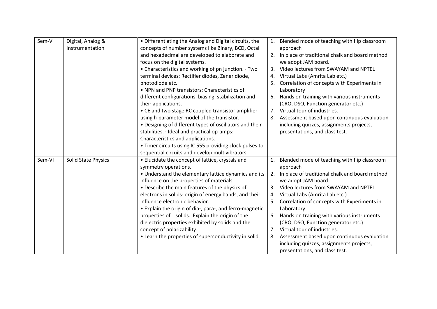| Sem-V  | Digital, Analog &          | • Differentiating the Analog and Digital circuits, the  | 1.             | Blended mode of teaching with flip classroom   |
|--------|----------------------------|---------------------------------------------------------|----------------|------------------------------------------------|
|        | Instrumentation            | concepts of number systems like Binary, BCD, Octal      |                | approach                                       |
|        |                            | and hexadecimal are developed to elaborate and          | 2.             | In place of traditional chalk and board method |
|        |                            | focus on the digital systems.                           |                | we adopt JAM board.                            |
|        |                            | • Characteristics and working of pn junction. Two       | 3.             | Video lectures from SWAYAM and NPTEL           |
|        |                            | terminal devices: Rectifier diodes, Zener diode,        | 4.             | Virtual Labs (Amrita Lab etc.)                 |
|        |                            | photodiode etc.                                         | 5.             | Correlation of concepts with Experiments in    |
|        |                            | • NPN and PNP transistors: Characteristics of           |                | Laboratory                                     |
|        |                            | different configurations, biasing, stabilization and    | 6.             | Hands on training with various instruments     |
|        |                            | their applications.                                     |                | (CRO, DSO, Function generator etc.)            |
|        |                            | • CE and two stage RC coupled transistor amplifier      |                | 7. Virtual tour of industries.                 |
|        |                            | using h-parameter model of the transistor.              | 8.             | Assessment based upon continuous evaluation    |
|        |                            | • Designing of different types of oscillators and their |                | including quizzes, assignments projects,       |
|        |                            | stabilities. · Ideal and practical op-amps:             |                | presentations, and class test.                 |
|        |                            | Characteristics and applications.                       |                |                                                |
|        |                            | • Timer circuits using IC 555 providing clock pulses to |                |                                                |
|        |                            | sequential circuits and develop multivibrators.         |                |                                                |
| Sem-VI | <b>Solid State Physics</b> | • Elucidate the concept of lattice, crystals and        | 1.             | Blended mode of teaching with flip classroom   |
|        |                            | symmetry operations.                                    |                | approach                                       |
|        |                            | . Understand the elementary lattice dynamics and its    | 2.             | In place of traditional chalk and board method |
|        |                            | influence on the properties of materials.               |                | we adopt JAM board.                            |
|        |                            | • Describe the main features of the physics of          | 3.             | Video lectures from SWAYAM and NPTEL           |
|        |                            | electrons in solids: origin of energy bands, and their  | 4.             | Virtual Labs (Amrita Lab etc.)                 |
|        |                            | influence electronic behavior.                          | 5.             | Correlation of concepts with Experiments in    |
|        |                            | • Explain the origin of dia-, para-, and ferro-magnetic |                | Laboratory                                     |
|        |                            | properties of solids. Explain the origin of the         | 6.             | Hands on training with various instruments     |
|        |                            | dielectric properties exhibited by solids and the       |                | (CRO, DSO, Function generator etc.)            |
|        |                            | concept of polarizability.                              | 7 <sub>1</sub> | Virtual tour of industries.                    |
|        |                            | • Learn the properties of superconductivity in solid.   | 8.             | Assessment based upon continuous evaluation    |
|        |                            |                                                         |                | including quizzes, assignments projects,       |
|        |                            |                                                         |                | presentations, and class test.                 |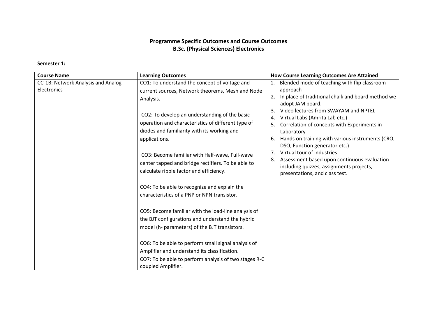# **Programme Specific Outcomes and Course Outcomes B.Sc. (Physical Sciences) Electronics**

## **Semester 1:**

| <b>Course Name</b>                                                                        | <b>Learning Outcomes</b>                                                                                                                                                           | <b>How Course Learning Outcomes Are Attained</b>                                                                                                                                                                                                                                   |
|-------------------------------------------------------------------------------------------|------------------------------------------------------------------------------------------------------------------------------------------------------------------------------------|------------------------------------------------------------------------------------------------------------------------------------------------------------------------------------------------------------------------------------------------------------------------------------|
| CC-1B: Network Analysis and Analog                                                        | CO1: To understand the concept of voltage and                                                                                                                                      | Blended mode of teaching with flip classroom                                                                                                                                                                                                                                       |
| Electronics                                                                               | current sources, Network theorems, Mesh and Node<br>Analysis.                                                                                                                      | approach<br>In place of traditional chalk and board method we<br>2.<br>adopt JAM board.                                                                                                                                                                                            |
|                                                                                           | CO2: To develop an understanding of the basic<br>operation and characteristics of different type of<br>diodes and familiarity with its working and<br>applications.                | Video lectures from SWAYAM and NPTEL<br>3.<br>Virtual Labs (Amrita Lab etc.)<br>4.<br>Correlation of concepts with Experiments in<br>5.<br>Laboratory<br>Hands on training with various instruments (CRO,<br>6.<br>DSO, Function generator etc.)<br>7. Virtual tour of industries. |
| CO3: Become familiar with Half-wave, Full-wave<br>calculate ripple factor and efficiency. | center tapped and bridge rectifiers. To be able to                                                                                                                                 | Assessment based upon continuous evaluation<br>8.<br>including quizzes, assignments projects,<br>presentations, and class test.                                                                                                                                                    |
|                                                                                           | CO4: To be able to recognize and explain the<br>characteristics of a PNP or NPN transistor.                                                                                        |                                                                                                                                                                                                                                                                                    |
|                                                                                           | CO5: Become familiar with the load-line analysis of<br>the BJT configurations and understand the hybrid<br>model (h- parameters) of the BJT transistors.                           |                                                                                                                                                                                                                                                                                    |
|                                                                                           | CO6: To be able to perform small signal analysis of<br>Amplifier and understand its classification.<br>CO7: To be able to perform analysis of two stages R-C<br>coupled Amplifier. |                                                                                                                                                                                                                                                                                    |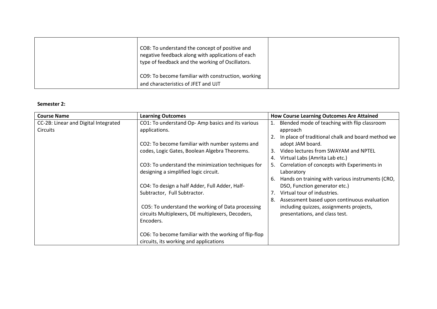| CO8: To understand the concept of positive and<br>negative feedback along with applications of each<br>type of feedback and the working of Oscillators. |  |
|---------------------------------------------------------------------------------------------------------------------------------------------------------|--|
| CO9: To become familiar with construction, working<br>and characteristics of JFET and UJT                                                               |  |

#### **Semester 2:**

| <b>Course Name</b>                   | <b>Learning Outcomes</b>                              | <b>How Course Learning Outcomes Are Attained</b>       |
|--------------------------------------|-------------------------------------------------------|--------------------------------------------------------|
| CC-2B: Linear and Digital Integrated | CO1: To understand Op-Amp basics and its various      | Blended mode of teaching with flip classroom           |
| <b>Circuits</b>                      | applications.                                         | approach                                               |
|                                      |                                                       | In place of traditional chalk and board method we      |
|                                      | CO2: To become familiar with number systems and       | adopt JAM board.                                       |
|                                      | codes, Logic Gates, Boolean Algebra Theorems.         | Video lectures from SWAYAM and NPTEL<br>3.             |
|                                      |                                                       | Virtual Labs (Amrita Lab etc.)<br>4.                   |
|                                      | CO3: To understand the minimization techniques for    | 5. Correlation of concepts with Experiments in         |
|                                      | designing a simplified logic circuit.                 | Laboratory                                             |
|                                      |                                                       | Hands on training with various instruments (CRO,<br>6. |
|                                      | CO4: To design a half Adder, Full Adder, Half-        | DSO, Function generator etc.)                          |
|                                      | Subtractor, Full Subtractor.                          | Virtual tour of industries.                            |
|                                      |                                                       | Assessment based upon continuous evaluation<br>8.      |
|                                      | CO5: To understand the working of Data processing     | including quizzes, assignments projects,               |
|                                      | circuits Multiplexers, DE multiplexers, Decoders,     | presentations, and class test.                         |
|                                      | Encoders.                                             |                                                        |
|                                      |                                                       |                                                        |
|                                      | CO6: To become familiar with the working of flip-flop |                                                        |
|                                      | circuits, its working and applications                |                                                        |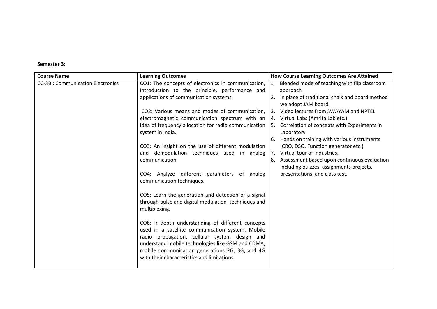#### **Semester 3:**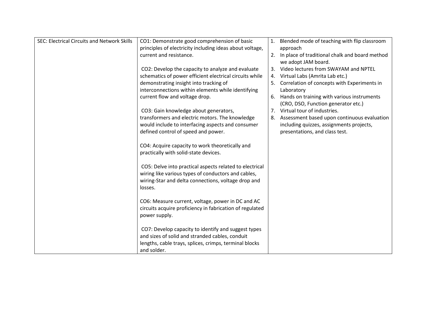| <b>SEC: Electrical Circuits and Network Skills</b> | CO1: Demonstrate good comprehension of basic<br>principles of electricity including ideas about voltage,                                                                         | 1. Blended mode of teaching with flip classroom<br>approach                          |
|----------------------------------------------------|----------------------------------------------------------------------------------------------------------------------------------------------------------------------------------|--------------------------------------------------------------------------------------|
|                                                    | current and resistance.                                                                                                                                                          | 2. In place of traditional chalk and board method<br>we adopt JAM board.             |
|                                                    | CO2: Develop the capacity to analyze and evaluate                                                                                                                                | 3. Video lectures from SWAYAM and NPTEL                                              |
|                                                    | schematics of power efficient electrical circuits while                                                                                                                          | 4. Virtual Labs (Amrita Lab etc.)                                                    |
|                                                    | demonstrating insight into tracking of                                                                                                                                           | Correlation of concepts with Experiments in                                          |
|                                                    | interconnections within elements while identifying                                                                                                                               | Laboratory                                                                           |
|                                                    | current flow and voltage drop.                                                                                                                                                   | 6. Hands on training with various instruments<br>(CRO, DSO, Function generator etc.) |
|                                                    | CO3: Gain knowledge about generators,                                                                                                                                            | 7. Virtual tour of industries.                                                       |
|                                                    | transformers and electric motors. The knowledge                                                                                                                                  | 8. Assessment based upon continuous evaluation                                       |
|                                                    | would include to interfacing aspects and consumer                                                                                                                                | including quizzes, assignments projects,                                             |
|                                                    | defined control of speed and power.                                                                                                                                              | presentations, and class test.                                                       |
|                                                    | CO4: Acquire capacity to work theoretically and<br>practically with solid-state devices.                                                                                         |                                                                                      |
|                                                    | CO5: Delve into practical aspects related to electrical<br>wiring like various types of conductors and cables,<br>wiring-Star and delta connections, voltage drop and<br>losses. |                                                                                      |
|                                                    | CO6: Measure current, voltage, power in DC and AC<br>circuits acquire proficiency in fabrication of regulated<br>power supply.                                                   |                                                                                      |
|                                                    | CO7: Develop capacity to identify and suggest types<br>and sizes of solid and stranded cables, conduit<br>lengths, cable trays, splices, crimps, terminal blocks                 |                                                                                      |
|                                                    | and solder.                                                                                                                                                                      |                                                                                      |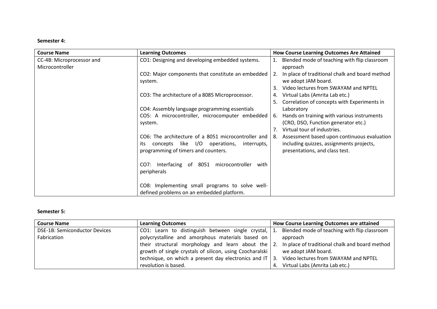#### **Semester 4:**

| <b>Course Name</b>        | <b>Learning Outcomes</b>                            | <b>How Course Learning Outcomes Are Attained</b>     |
|---------------------------|-----------------------------------------------------|------------------------------------------------------|
| CC-4B: Microprocessor and | CO1: Designing and developing embedded systems.     | Blended mode of teaching with flip classroom<br>1.   |
| Microcontroller           |                                                     | approach                                             |
|                           | CO2: Major components that constitute an embedded   | In place of traditional chalk and board method<br>2. |
|                           | system.                                             | we adopt JAM board.                                  |
|                           |                                                     | Video lectures from SWAYAM and NPTEL<br>3.           |
|                           | CO3: The architecture of a 8085 Microprocessor.     | Virtual Labs (Amrita Lab etc.)<br>4.                 |
|                           |                                                     | Correlation of concepts with Experiments in          |
|                           | CO4: Assembly language programming essentials       | Laboratory                                           |
|                           | CO5: A microcontroller, microcomputer embedded      | Hands on training with various instruments<br>6.     |
|                           | system.                                             | (CRO, DSO, Function generator etc.)                  |
|                           |                                                     | Virtual tour of industries.<br>7.                    |
|                           | CO6: The architecture of a 8051 microcontroller and | Assessment based upon continuous evaluation<br>8.    |
|                           | concepts like I/O operations,<br>its<br>interrupts, | including quizzes, assignments projects,             |
|                           | programming of timers and counters.                 | presentations, and class test.                       |
|                           |                                                     |                                                      |
|                           | Interfacing of 8051 microcontroller<br>CO7:<br>with |                                                      |
|                           | peripherals                                         |                                                      |
|                           |                                                     |                                                      |
|                           | CO8: Implementing small programs to solve well-     |                                                      |
|                           | defined problems on an embedded platform.           |                                                      |

#### **Semester 5:**

| <b>Course Name</b>                   | <b>Learning Outcomes</b>                                                                                  | How Course Learning Outcomes are attained      |  |
|--------------------------------------|-----------------------------------------------------------------------------------------------------------|------------------------------------------------|--|
| <b>DSE-1B: Semiconductor Devices</b> | CO1: Learn to distinguish between single crystal, $\vert$ 1. Blended mode of teaching with flip classroom |                                                |  |
| Fabrication                          | polycrystalline and amorphous materials based on                                                          | approach                                       |  |
|                                      | their structural morphology and learn about the $\vert$ 2.                                                | In place of traditional chalk and board method |  |
|                                      | growth of single crystals of silicon, using Czocharalski                                                  | we adopt JAM board.                            |  |
|                                      | technique, on which a present day electronics and IT $\vert$ 3.                                           | Video lectures from SWAYAM and NPTEL           |  |
|                                      | revolution is based.                                                                                      | 4. Virtual Labs (Amrita Lab etc.)              |  |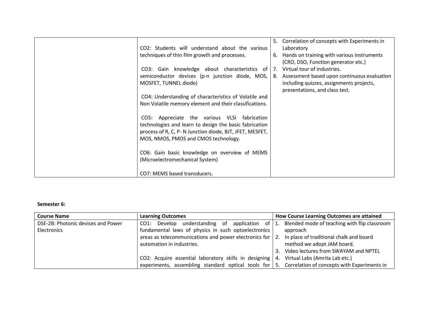| CO2: Students will understand about the various<br>techniques of thin film growth and processes.<br>CO3: Gain knowledge about characteristics of<br>semiconductor devices (p-n junction diode, MOS,<br>MOSFET, TUNNEL diode)<br>CO4: Understanding of characteristics of Volatile and<br>Non Volatile memory element and their classifications.<br>CO5: Appreciate the various VLSI fabrication | 5. Correlation of concepts with Experiments in<br>Laboratory<br>6. Hands on training with various instruments<br>(CRO, DSO, Function generator etc.)<br>  7. Virtual tour of industries.<br>8. Assessment based upon continuous evaluation<br>including quizzes, assignments projects,<br>presentations, and class test. |
|-------------------------------------------------------------------------------------------------------------------------------------------------------------------------------------------------------------------------------------------------------------------------------------------------------------------------------------------------------------------------------------------------|--------------------------------------------------------------------------------------------------------------------------------------------------------------------------------------------------------------------------------------------------------------------------------------------------------------------------|
| technologies and learn to design the basic fabrication<br>process of R, C, P-N Junction diode, BJT, JFET, MESFET,<br>MOS, NMOS, PMOS and CMOS technology.<br>CO6: Gain basic knowledge on overview of MEMS<br>(Microelectromechanical System)                                                                                                                                                   |                                                                                                                                                                                                                                                                                                                          |
| CO7: MEMS based transducers.                                                                                                                                                                                                                                                                                                                                                                    |                                                                                                                                                                                                                                                                                                                          |

### **Semester 6:**

| <b>Course Name</b>                 | <b>Learning Outcomes</b>                                                                                  | How Course Learning Outcomes are attained    |  |
|------------------------------------|-----------------------------------------------------------------------------------------------------------|----------------------------------------------|--|
| DSE-2B: Photonic devices and Power | understanding<br>Develop<br>-of<br>application of $\vert$ 1.<br>CO1:                                      | Blended mode of teaching with flip classroom |  |
| Electronics                        | fundamental laws of physics in such optoelectronics                                                       | approach                                     |  |
|                                    | areas as telecommunications and power electronics for $\vert$ 2.                                          | In place of traditional chalk and board      |  |
|                                    | automation in industries.                                                                                 | method we adopt JAM board.                   |  |
|                                    |                                                                                                           | Video lectures from SWAYAM and NPTEL<br>3.   |  |
|                                    | CO2: Acquire essential laboratory skills in designing $ 4$ .                                              | Virtual Labs (Amrita Lab etc.)               |  |
|                                    | experiments, assembling standard optical tools for $\vert$ 5. Correlation of concepts with Experiments in |                                              |  |